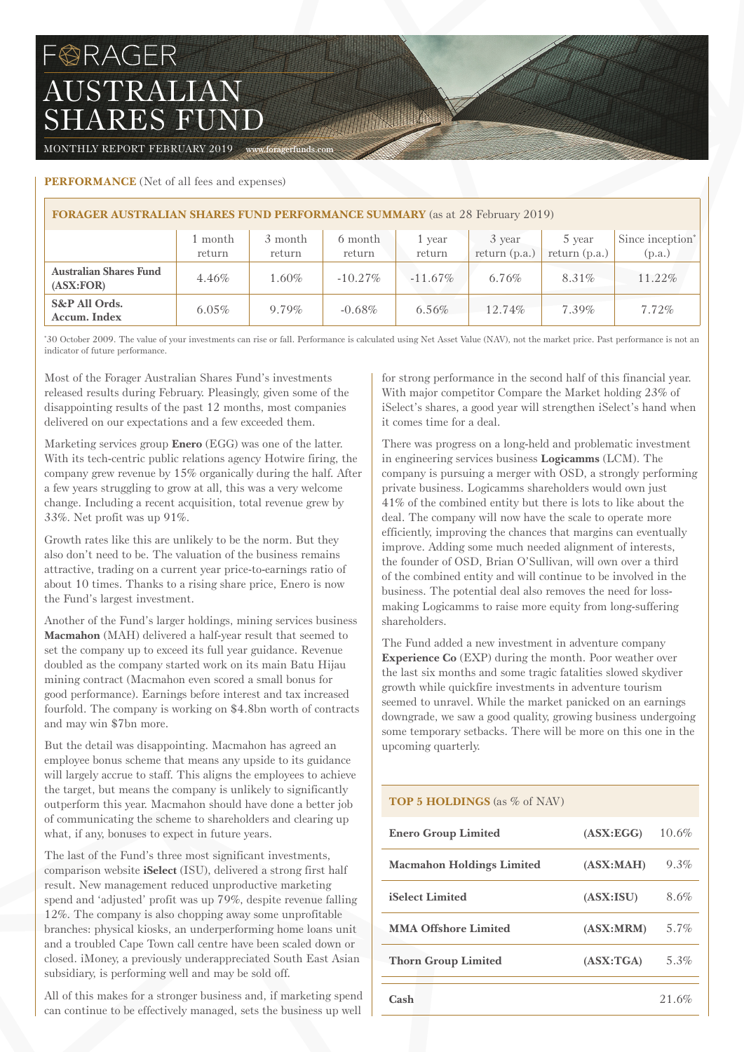# FORAGER AUSTRALIAN SHARES FUND

MONTHLY REPORT FEBRUARY 2019 www.foragerfunds.com

## **PERFORMANCE** (Net of all fees and expenses)

| <b>FORAGER AUSTRALIAN SHARES FUND PERFORMANCE SUMMARY</b> (as at 28 February 2019) |                   |                   |                   |                  |                           |                           |                                        |  |
|------------------------------------------------------------------------------------|-------------------|-------------------|-------------------|------------------|---------------------------|---------------------------|----------------------------------------|--|
|                                                                                    | 1 month<br>return | 3 month<br>return | 6 month<br>return | 1 year<br>return | 3 year<br>return $(p.a.)$ | 5 year<br>return $(p.a.)$ | Since inception <sup>*</sup><br>(p.a.) |  |
| <b>Australian Shares Fund</b><br>(ASK:FOR)                                         | $4.46\%$          | 1.60%             | $-10.27\%$        | $-11.67\%$       | $6.76\%$                  | 8.31%                     | 11.22%                                 |  |
| S&P All Ords.<br>Accum. Index                                                      | $6.05\%$          | $9.79\%$          | $-0.68\%$         | $6.56\%$         | 12.74%                    | $7.39\%$                  | $7.72\%$                               |  |

**STATE OF THE OWNER.** 

\* 30 October 2009. The value of your investments can rise or fall. Performance is calculated using Net Asset Value (NAV), not the market price. Past performance is not an indicator of future performance.

Most of the Forager Australian Shares Fund's investments released results during February. Pleasingly, given some of the disappointing results of the past 12 months, most companies delivered on our expectations and a few exceeded them.

Marketing services group **Enero** (EGG) was one of the latter. With its tech-centric public relations agency Hotwire firing, the company grew revenue by 15% organically during the half. After a few years struggling to grow at all, this was a very welcome change. Including a recent acquisition, total revenue grew by 33%. Net profit was up 91%.

Growth rates like this are unlikely to be the norm. But they also don't need to be. The valuation of the business remains attractive, trading on a current year price-to-earnings ratio of about 10 times. Thanks to a rising share price, Enero is now the Fund's largest investment.

Another of the Fund's larger holdings, mining services business **Macmahon** (MAH) delivered a half-year result that seemed to set the company up to exceed its full year guidance. Revenue doubled as the company started work on its main Batu Hijau mining contract (Macmahon even scored a small bonus for good performance). Earnings before interest and tax increased fourfold. The company is working on \$4.8bn worth of contracts and may win \$7bn more.

But the detail was disappointing. Macmahon has agreed an employee bonus scheme that means any upside to its guidance will largely accrue to staff. This aligns the employees to achieve the target, but means the company is unlikely to significantly outperform this year. Macmahon should have done a better job of communicating the scheme to shareholders and clearing up what, if any, bonuses to expect in future years.

The last of the Fund's three most significant investments, comparison website **iSelect** (ISU), delivered a strong first half result. New management reduced unproductive marketing spend and 'adjusted' profit was up 79%, despite revenue falling 12%. The company is also chopping away some unprofitable branches: physical kiosks, an underperforming home loans unit and a troubled Cape Town call centre have been scaled down or closed. iMoney, a previously underappreciated South East Asian subsidiary, is performing well and may be sold off.

All of this makes for a stronger business and, if marketing spend can continue to be effectively managed, sets the business up well

for strong performance in the second half of this financial year. With major competitor Compare the Market holding 23% of iSelect's shares, a good year will strengthen iSelect's hand when it comes time for a deal.

There was progress on a long-held and problematic investment in engineering services business **Logicamms** (LCM). The company is pursuing a merger with OSD, a strongly performing private business. Logicamms shareholders would own just 41% of the combined entity but there is lots to like about the deal. The company will now have the scale to operate more efficiently, improving the chances that margins can eventually improve. Adding some much needed alignment of interests, the founder of OSD, Brian O'Sullivan, will own over a third of the combined entity and will continue to be involved in the business. The potential deal also removes the need for lossmaking Logicamms to raise more equity from long-suffering shareholders.

The Fund added a new investment in adventure company **Experience Co** (EXP) during the month. Poor weather over the last six months and some tragic fatalities slowed skydiver growth while quickfire investments in adventure tourism seemed to unravel. While the market panicked on an earnings downgrade, we saw a good quality, growing business undergoing some temporary setbacks. There will be more on this one in the upcoming quarterly.

## **TOP 5 HOLDINGS** (as % of NAV)

| <b>Enero Group Limited</b>       | (ASK:EGG)  | 10.6%   |
|----------------------------------|------------|---------|
| <b>Macmahon Holdings Limited</b> | (ASK:MAH)  | 9.3%    |
| <b>iSelect Limited</b>           | (ASX:ISU)  | 8.6%    |
| <b>MMA Offshore Limited</b>      | (ASK: MRM) | $5.7\%$ |
| <b>Thorn Group Limited</b>       | (ASK: TGA) | 5.3%    |
| Cash                             |            | 21.6%   |